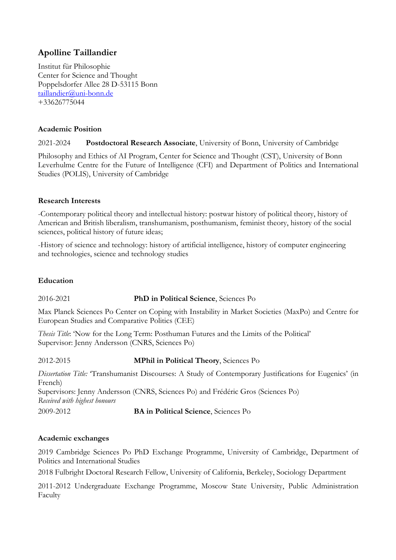# **Apolline Taillandier**

Institut für Philosophie Center for Science and Thought Poppelsdorfer Allee 28 D-53115 Bonn taillandier@uni-bonn.de +33626775044

### **Academic Position**

2021-2024 **Postdoctoral Research Associate**, University of Bonn, University of Cambridge

Philosophy and Ethics of AI Program, Center for Science and Thought (CST), University of Bonn Leverhulme Centre for the Future of Intelligence (CFI) and Department of Politics and International Studies (POLIS), University of Cambridge

### **Research Interests**

-Contemporary political theory and intellectual history: postwar history of political theory, history of American and British liberalism, transhumanism, posthumanism, feminist theory, history of the social sciences, political history of future ideas;

-History of science and technology: history of artificial intelligence, history of computer engineering and technologies, science and technology studies

# **Education**

# 2016-2021 **PhD in Political Science**, Sciences Po

Max Planck Sciences Po Center on Coping with Instability in Market Societies (MaxPo) and Centre for European Studies and Comparative Politics (CEE)

*Thesis Title*: 'Now for the Long Term: Posthuman Futures and the Limits of the Political' Supervisor: Jenny Andersson (CNRS, Sciences Po)

2012-2015 **MPhil in Political Theory**, Sciences Po

*Dissertation Title:* 'Transhumanist Discourses: A Study of Contemporary Justifications for Eugenics' (in French) Supervisors: Jenny Andersson (CNRS, Sciences Po) and Frédéric Gros (Sciences Po) *Received with highest honours*

2009-2012 **BA in Political Science**, Sciences Po

### **Academic exchanges**

2019 Cambridge Sciences Po PhD Exchange Programme, University of Cambridge, Department of Politics and International Studies

2018 Fulbright Doctoral Research Fellow, University of California, Berkeley, Sociology Department

2011-2012 Undergraduate Exchange Programme, Moscow State University, Public Administration Faculty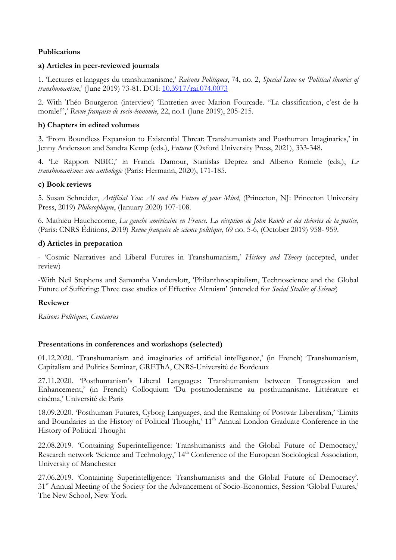# **Publications**

### **a) Articles in peer-reviewed journals**

1. 'Lectures et langages du transhumanisme,' *Raisons Politiques*, 74, no. 2, *Special Issue on 'Political theories of transhumanism*,' (June 2019) 73-81. DOI: 10.3917/rai.074.0073

2. With Théo Bourgeron (interview) 'Entretien avec Marion Fourcade. "La classification, c'est de la morale!",' *Revue française de socio-économie*, 22, no.1 (June 2019), 205-215.

### **b) Chapters in edited volumes**

3. 'From Boundless Expansion to Existential Threat: Transhumanists and Posthuman Imaginaries,' in Jenny Andersson and Sandra Kemp (eds.), *Futures* (Oxford University Press, 2021), 333-348.

4. 'Le Rapport NBIC,' in Franck Damour, Stanislas Deprez and Alberto Romele (eds.), *Le transhumanisme: une anthologie* (Paris: Hermann, 2020), 171-185.

### **c) Book reviews**

5. Susan Schneider, *Artificial You: AI and the Future of your Mind*, (Princeton, NJ: Princeton University Press, 2019) *Philosophique*, (January 2020) 107-108.

6. Mathieu Hauchecorne, *La gauche américaine en France. La réception de John Rawls et des théories de la justice*, (Paris: CNRS Éditions, 2019) *Revue française de science politique*, 69 no. 5-6, (October 2019) 958- 959.

### **d) Articles in preparation**

- 'Cosmic Narratives and Liberal Futures in Transhumanism,' *History and Theory* (accepted, under review)

-With Neil Stephens and Samantha Vanderslott, 'Philanthrocapitalism, Technoscience and the Global Future of Suffering: Three case studies of Effective Altruism' (intended for *Social Studies of Science*)

### **Reviewer**

*Raisons Politiques, Centaurus*

### **Presentations in conferences and workshops (selected)**

01.12.2020. 'Transhumanism and imaginaries of artificial intelligence,' (in French) Transhumanism, Capitalism and Politics Seminar, GREThA, CNRS-Université de Bordeaux

27.11.2020. 'Posthumanism's Liberal Languages: Transhumanism between Transgression and Enhancement,' (in French) Colloquium 'Du postmodernisme au posthumanisme. Littérature et cinéma,' Université de Paris

18.09.2020. 'Posthuman Futures, Cyborg Languages, and the Remaking of Postwar Liberalism,' 'Limits and Boundaries in the History of Political Thought,' 11<sup>th</sup> Annual London Graduate Conference in the History of Political Thought

22.08.2019. 'Containing Superintelligence: Transhumanists and the Global Future of Democracy,' Research network 'Science and Technology,' 14<sup>th</sup> Conference of the European Sociological Association, University of Manchester

27.06.2019. 'Containing Superintelligence: Transhumanists and the Global Future of Democracy'. 31<sup>st</sup> Annual Meeting of the Society for the Advancement of Socio-Economics, Session 'Global Futures,' The New School, New York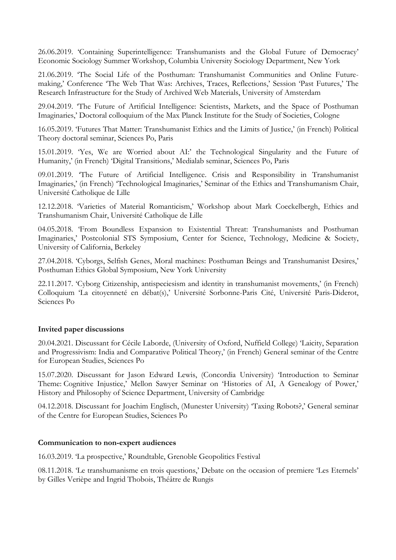26.06.2019. 'Containing Superintelligence: Transhumanists and the Global Future of Democracy' Economic Sociology Summer Workshop, Columbia University Sociology Department, New York

21.06.2019. 'The Social Life of the Posthuman: Transhumanist Communities and Online Futuremaking,' Conference 'The Web That Was: Archives, Traces, Reflections,' Session 'Past Futures,' The Research Infrastructure for the Study of Archived Web Materials, University of Amsterdam

29.04.2019. 'The Future of Artificial Intelligence: Scientists, Markets, and the Space of Posthuman Imaginaries,' Doctoral colloquium of the Max Planck Institute for the Study of Societies, Cologne

16.05.2019. 'Futures That Matter: Transhumanist Ethics and the Limits of Justice,' (in French) Political Theory doctoral seminar, Sciences Po, Paris

15.01.2019. 'Yes, We are Worried about AI:' the Technological Singularity and the Future of Humanity,' (in French) 'Digital Transitions,' Medialab seminar, Sciences Po, Paris

09.01.2019. 'The Future of Artificial Intelligence. Crisis and Responsibility in Transhumanist Imaginaries,' (in French) 'Technological Imaginaries,' Seminar of the Ethics and Transhumanism Chair, Université Catholique de Lille

12.12.2018. 'Varieties of Material Romanticism,' Workshop about Mark Coeckelbergh, Ethics and Transhumanism Chair, Université Catholique de Lille

04.05.2018. 'From Boundless Expansion to Existential Threat: Transhumanists and Posthuman Imaginaries,' Postcolonial STS Symposium, Center for Science, Technology, Medicine & Society, University of California, Berkeley

27.04.2018. 'Cyborgs, Selfish Genes, Moral machines: Posthuman Beings and Transhumanist Desires,' Posthuman Ethics Global Symposium, New York University

22.11.2017. 'Cyborg Citizenship, antispeciesism and identity in transhumanist movements,' (in French) Colloquium 'La citoyenneté en débat(s),' Université Sorbonne-Paris Cité, Université Paris-Diderot, Sciences Po

### **Invited paper discussions**

20.04.2021. Discussant for Cécile Laborde, (University of Oxford, Nuffield College) 'Laicity, Separation and Progressivism: India and Comparative Political Theory,' (in French) General seminar of the Centre for European Studies, Sciences Po

15.07.2020. Discussant for Jason Edward Lewis, (Concordia University) 'Introduction to Seminar Theme: Cognitive Injustice,' Mellon Sawyer Seminar on 'Histories of AI, A Genealogy of Power,' History and Philosophy of Science Department, University of Cambridge

04.12.2018. Discussant for Joachim Englisch, (Munester University) 'Taxing Robots?,' General seminar of the Centre for European Studies, Sciences Po

### **Communication to non-expert audiences**

16.03.2019. 'La prospective,' Roundtable, Grenoble Geopolitics Festival

08.11.2018. 'Le transhumanisme en trois questions,' Debate on the occasion of premiere 'Les Eternels' by Gilles Verièpe and Ingrid Thobois, Théâtre de Rungis